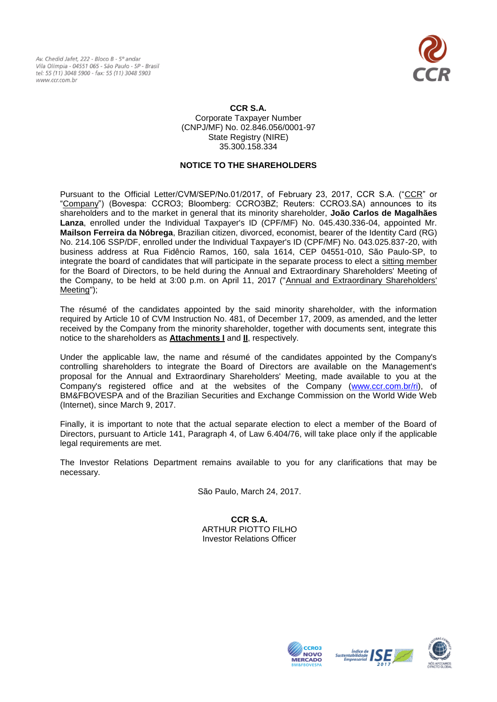Av. Chedid Jafet, 222 - Bloco B - 5° andar Vila Olímpia - 04551 065 - São Paulo - SP - Brasil tel: 55 (11) 3048 5900 - fax: 55 (11) 3048 5903 www.ccr.com.br



## **CCR S.A.** Corporate Taxpayer Number (CNPJ/MF) No. 02.846.056/0001-97 State Registry (NIRE) 35.300.158.334

# **NOTICE TO THE SHAREHOLDERS**

Pursuant to the Official Letter/CVM/SEP/No.01/2017, of February 23, 2017, CCR S.A. ("CCR" or "Company") (Bovespa: CCRO3; Bloomberg: CCRO3BZ; Reuters: CCRO3.SA) announces to its shareholders and to the market in general that its minority shareholder, **João Carlos de Magalhães Lanza**, enrolled under the Individual Taxpayer's ID (CPF/MF) No. 045.430.336-04, appointed Mr. **Mailson Ferreira da Nóbrega**, Brazilian citizen, divorced, economist, bearer of the Identity Card (RG) No. 214.106 SSP/DF, enrolled under the Individual Taxpayer's ID (CPF/MF) No. 043.025.837-20, with business address at Rua Fidêncio Ramos, 160, sala 1614, CEP 04551-010, São Paulo-SP, to integrate the board of candidates that will participate in the separate process to elect a sitting member for the Board of Directors, to be held during the Annual and Extraordinary Shareholders' Meeting of the Company, to be held at 3:00 p.m. on April 11, 2017 ("Annual and Extraordinary Shareholders' Meeting");

The résumé of the candidates appointed by the said minority shareholder, with the information required by Article 10 of CVM Instruction No. 481, of December 17, 2009, as amended, and the letter received by the Company from the minority shareholder, together with documents sent, integrate this notice to the shareholders as **Attachments I** and **II**, respectively.

Under the applicable law, the name and résumé of the candidates appointed by the Company's controlling shareholders to integrate the Board of Directors are available on the Management's proposal for the Annual and Extraordinary Shareholders' Meeting, made available to you at the Company's registered office and at the websites of the Company [\(www.ccr.com.br/ri\)](http://www.ccr.com.br/ri), of BM&FBOVESPA and of the Brazilian Securities and Exchange Commission on the World Wide Web (Internet), since March 9, 2017.

Finally, it is important to note that the actual separate election to elect a member of the Board of Directors, pursuant to Article 141, Paragraph 4, of Law 6.404/76, will take place only if the applicable legal requirements are met.

The Investor Relations Department remains available to you for any clarifications that may be necessary.

São Paulo, March 24, 2017.

**CCR S.A.** ARTHUR PIOTTO FILHO Investor Relations Officer





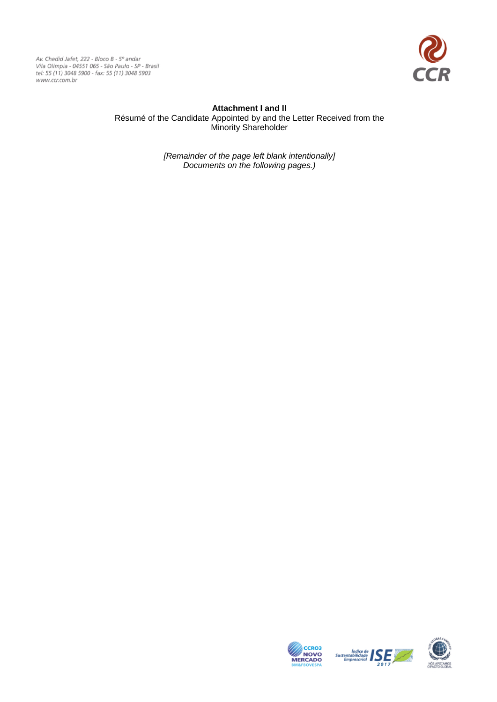Av. Chedid Jafet, 222 - Bloco B - 5º andar<br>Vila Olímpia - 04551 065 - São Paulo - SP - Brasil<br>tel: 55 (11) 3048 5900 - fax: 55 (11) 3048 5903 www.ccr.com.br



# **Attachment I and II** Résumé of the Candidate Appointed by and the Letter Received from the Minority Shareholder

*[Remainder of the page left blank intentionally] Documents on the following pages.)*





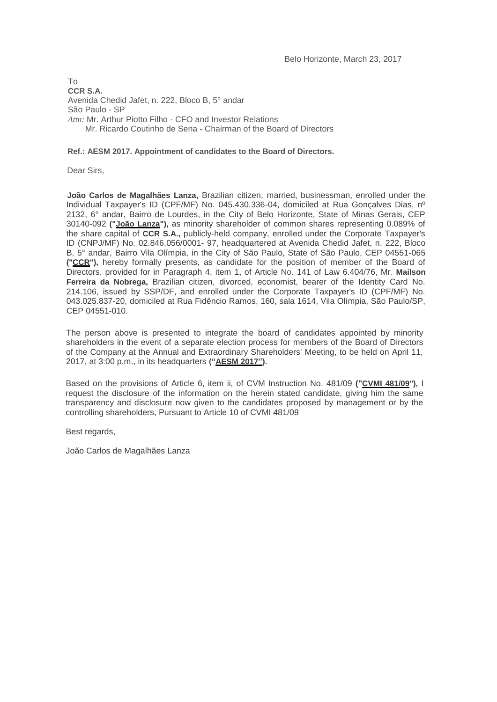To **CCR S.A.** Avenida Chedid Jafet, n. 222, Bloco B, 5° andar São Paulo - SP *Attn:* Mr. Arthur Piotto Filho - CFO and Investor Relations Mr. Ricardo Coutinho de Sena - Chairman of the Board of Directors

### **Ref.: AESM 2017. Appointment of candidates to the Board of Directors.**

Dear Sirs,

**João Carlos de Magalhães Lanza,** Brazilian citizen, married, businessman, enrolled under the Individual Taxpayer's ID (CPF/MF) No. 045.430.336-04, domiciled at Rua Gonçalves Dias, nº 2132, 6° andar, Bairro de Lourdes, in the City of Belo Horizonte, State of Minas Gerais, CEP 30140-092 **("João Lanza"),** as minority shareholder of common shares representing 0.089% of the share capital of **CCR S.A.,** publicly-held company, enrolled under the Corporate Taxpayer's ID (CNPJ/MF) No. 02.846.056/0001- 97, headquartered at Avenida Chedid Jafet, n. 222, Bloco B, 5° andar, Bairro Vila Olímpia, in the City of São Paulo, State of São Paulo, CEP 04551-065 **("CCR"),** hereby formally presents, as candidate for the position of member of the Board of Directors, provided for in Paragraph 4, item 1, of Article No. 141 of Law 6.404/76, Mr. **Mailson Ferreira da Nobrega,** Brazilian citizen, divorced, economist, bearer of the Identity Card No. 214.106, issued by SSP/DF, and enrolled under the Corporate Taxpayer's ID (CPF/MF) No. 043.025.837-20, domiciled at Rua Fidêncio Ramos, 160, sala 1614, Vila Olímpia, São Paulo/SP, CEP 04551-010.

The person above is presented to integrate the board of candidates appointed by minority shareholders in the event of a separate election process for members of the Board of Directors of the Company at the Annual and Extraordinary Shareholders' Meeting, to be held on April 11, 2017, at 3:00 p.m., in its headquarters **("AESM 2017").**

Based on the provisions of Article 6, item ii, of CVM Instruction No. 481/09 **("CVMI 481/09"),** I request the disclosure of the information on the herein stated candidate, giving him the same transparency and disclosure now given to the candidates proposed by management or by the controlling shareholders, Pursuant to Article 10 of CVMI 481/09

Best regards,

João Carlos de Magalhães Lanza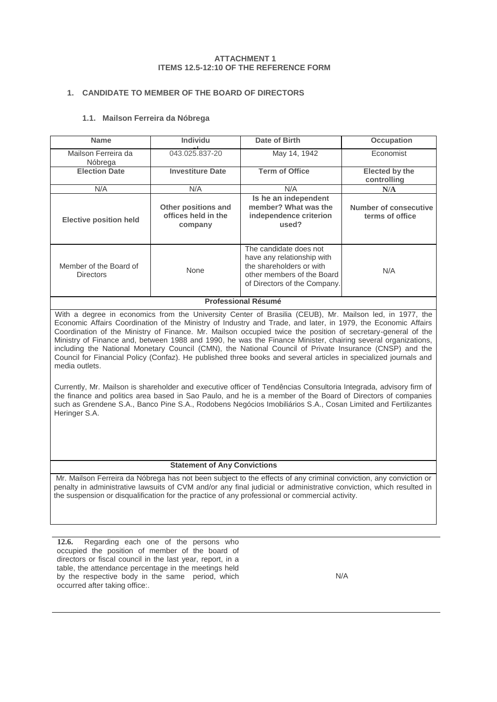#### **ATTACHMENT 1 ITEMS 12.5-12:10 OF THE REFERENCE FORM**

## **1. CANDIDATE TO MEMBER OF THE BOARD OF DIRECTORS**

## **1.1. Mailson Ferreira da Nóbrega**

| <b>Name</b>                                                                                                                                                                                                                                                                                                                                                                                                                                                                                                                                                                                                                                                                                               | Individu                                              | Date of Birth                                                                                                                                  | <b>Occupation</b>                        |  |
|-----------------------------------------------------------------------------------------------------------------------------------------------------------------------------------------------------------------------------------------------------------------------------------------------------------------------------------------------------------------------------------------------------------------------------------------------------------------------------------------------------------------------------------------------------------------------------------------------------------------------------------------------------------------------------------------------------------|-------------------------------------------------------|------------------------------------------------------------------------------------------------------------------------------------------------|------------------------------------------|--|
| Mailson Ferreira da<br>Nóbrega                                                                                                                                                                                                                                                                                                                                                                                                                                                                                                                                                                                                                                                                            | 043.025.837-20                                        | May 14, 1942                                                                                                                                   | Economist                                |  |
| <b>Election Date</b>                                                                                                                                                                                                                                                                                                                                                                                                                                                                                                                                                                                                                                                                                      | <b>Investiture Date</b>                               | <b>Term of Office</b>                                                                                                                          | Elected by the<br>controlling            |  |
| N/A                                                                                                                                                                                                                                                                                                                                                                                                                                                                                                                                                                                                                                                                                                       | N/A                                                   | N/A                                                                                                                                            | N/A                                      |  |
| <b>Elective position held</b>                                                                                                                                                                                                                                                                                                                                                                                                                                                                                                                                                                                                                                                                             | Other positions and<br>offices held in the<br>company | Is he an independent<br>member? What was the<br>independence criterion<br>used?                                                                | Number of consecutive<br>terms of office |  |
| Member of the Board of<br><b>Directors</b>                                                                                                                                                                                                                                                                                                                                                                                                                                                                                                                                                                                                                                                                | None                                                  | The candidate does not<br>have any relationship with<br>the shareholders or with<br>other members of the Board<br>of Directors of the Company. | N/A                                      |  |
| <b>Professional Résumé</b>                                                                                                                                                                                                                                                                                                                                                                                                                                                                                                                                                                                                                                                                                |                                                       |                                                                                                                                                |                                          |  |
| With a degree in economics from the University Center of Brasilia (CEUB), Mr. Mailson led, in 1977, the<br>Economic Affairs Coordination of the Ministry of Industry and Trade, and later, in 1979, the Economic Affairs<br>Coordination of the Ministry of Finance. Mr. Mailson occupied twice the position of secretary-general of the<br>Ministry of Finance and, between 1988 and 1990, he was the Finance Minister, chairing several organizations,<br>including the National Monetary Council (CMN), the National Council of Private Insurance (CNSP) and the<br>Council for Financial Policy (Confaz). He published three books and several articles in specialized journals and<br>media outlets. |                                                       |                                                                                                                                                |                                          |  |
| Currently, Mr. Mailson is shareholder and executive officer of Tendências Consultoria Integrada, advisory firm of<br>the finance and politics area based in Sao Paulo, and he is a member of the Board of Directors of companies<br>such as Grendene S.A., Banco Pine S.A., Rodobens Negócios Imobiliários S.A., Cosan Limited and Fertilizantes<br>Heringer S.A.                                                                                                                                                                                                                                                                                                                                         |                                                       |                                                                                                                                                |                                          |  |

## **Statement of Any Convictions**

Mr. Mailson Ferreira da Nóbrega has not been subject to the effects of any criminal conviction, any conviction or penalty in administrative lawsuits of CVM and/or any final judicial or administrative conviction, which resulted in the suspension or disqualification for the practice of any professional or commercial activity.

**12.6.** Regarding each one of the persons who occupied the position of member of the board of directors or fiscal council in the last year, report, in a table, the attendance percentage in the meetings held by the respective body in the same period, which occurred after taking office:.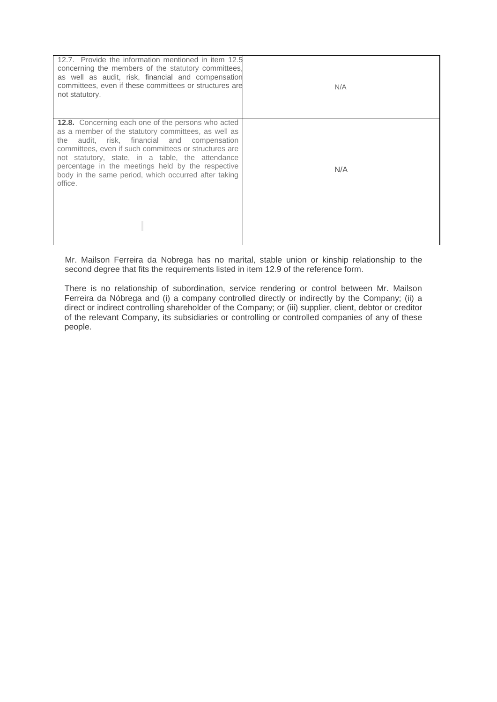| 12.7. Provide the information mentioned in item 12.5<br>concerning the members of the statutory committees,<br>as well as audit, risk, financial and compensation<br>committees, even if these committees or structures are<br>not statutory.                                                                                                                                                           | N/A |
|---------------------------------------------------------------------------------------------------------------------------------------------------------------------------------------------------------------------------------------------------------------------------------------------------------------------------------------------------------------------------------------------------------|-----|
| <b>12.8.</b> Concerning each one of the persons who acted<br>as a member of the statutory committees, as well as<br>audit, risk, financial and compensation<br>the<br>committees, even if such committees or structures are<br>not statutory, state, in a table, the attendance<br>percentage in the meetings held by the respective<br>body in the same period, which occurred after taking<br>office. | N/A |
|                                                                                                                                                                                                                                                                                                                                                                                                         |     |

Mr. Mailson Ferreira da Nobrega has no marital, stable union or kinship relationship to the second degree that fits the requirements listed in item 12.9 of the reference form.

There is no relationship of subordination, service rendering or control between Mr. Mailson Ferreira da Nóbrega and (i) a company controlled directly or indirectly by the Company; (ii) a direct or indirect controlling shareholder of the Company; or (iii) supplier, client, debtor or creditor of the relevant Company, its subsidiaries or controlling or controlled companies of any of these people.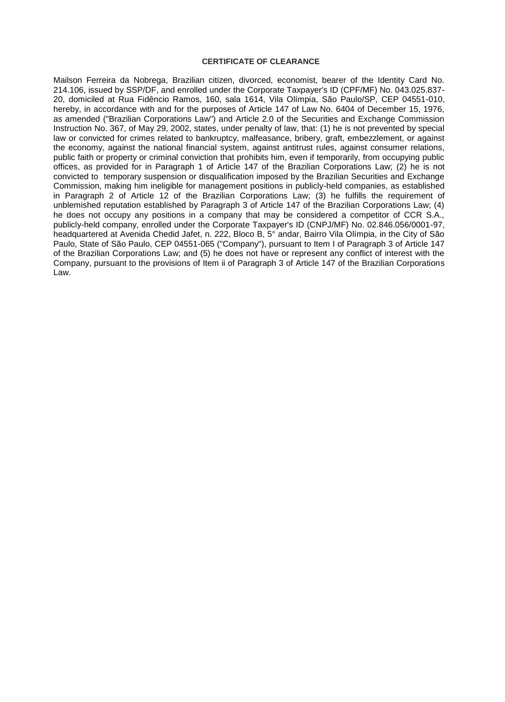#### **CERTIFICATE OF CLEARANCE**

Mailson Ferreira da Nobrega, Brazilian citizen, divorced, economist, bearer of the Identity Card No. 214.106, issued by SSP/DF, and enrolled under the Corporate Taxpayer's ID (CPF/MF) No. 043.025.837- 20, domiciled at Rua Fidêncio Ramos, 160, sala 1614, Vila Olímpia, São Paulo/SP, CEP 04551-010, hereby, in accordance with and for the purposes of Article 147 of Law No. 6404 of December 15, 1976, as amended ("Brazilian Corporations Law") and Article 2.0 of the Securities and Exchange Commission Instruction No. 367, of May 29, 2002, states, under penalty of law, that: (1) he is not prevented by special law or convicted for crimes related to bankruptcy, malfeasance, bribery, graft, embezzlement, or against the economy, against the national financial system, against antitrust rules, against consumer relations, public faith or property or criminal conviction that prohibits him, even if temporarily, from occupying public offices, as provided for in Paragraph 1 of Article 147 of the Brazilian Corporations Law; (2) he is not convicted to temporary suspension or disqualification imposed by the Brazilian Securities and Exchange Commission, making him ineligible for management positions in publicly-held companies, as established in Paragraph 2 of Article 12 of the Brazilian Corporations Law; (3) he fulfills the requirement of unblemished reputation established by Paragraph 3 of Article 147 of the Brazilian Corporations Law; (4) he does not occupy any positions in a company that may be considered a competitor of CCR S.A., publicly-held company, enrolled under the Corporate Taxpayer's ID (CNPJ/MF) No. 02.846.056/0001-97, headquartered at Avenida Chedid Jafet, n. 222, Bloco B, 5° andar, Bairro Vila Olímpia, in the City of São Paulo, State of São Paulo, CEP 04551-065 ("Company"), pursuant to Item I of Paragraph 3 of Article 147 of the Brazilian Corporations Law; and (5) he does not have or represent any conflict of interest with the Company, pursuant to the provisions of Item ii of Paragraph 3 of Article 147 of the Brazilian Corporations Law.